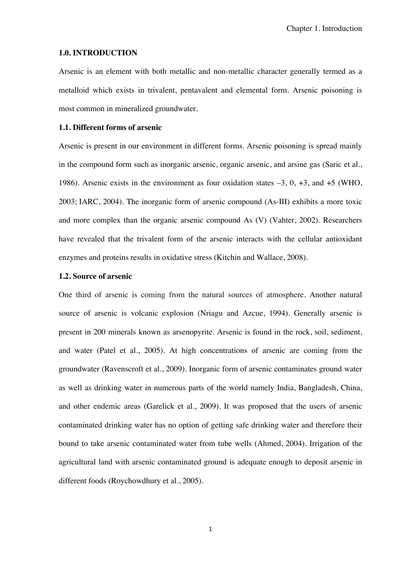Chapter 1. Introduction

#### **1.0. INTRODUCTION**

Arsenic is an element with both metallic and non-metallic character generally termed as a metalloid which exists in trivalent, pentavalent and elemental form. Arsenic poisoning is most common in mineralized groundwater.

### **1.1. Different forms of arsenic**

Arsenic is present in our environment in different forms. Arsenic poisoning is spread mainly in the compound form such as inorganic arsenic, organic arsenic, and arsine gas (Saric et al., 1986). Arsenic exists in the environment as four oxidation states –3, 0, +3, and +5 (WHO, 2003; IARC, 2004). The inorganic form of arsenic compound (As-III) exhibits a more toxic and more complex than the organic arsenic compound As (V) (Vahter, 2002). Researchers have revealed that the trivalent form of the arsenic interacts with the cellular antioxidant enzymes and proteins results in oxidative stress (Kitchin and Wallace, 2008).

# **1.2. Source of arsenic**

One third of arsenic is coming from the natural sources of atmosphere. Another natural source of arsenic is volcanic explosion (Nriagu and Azcue, 1994). Generally arsenic is present in 200 minerals known as arsenopyrite. Arsenic is found in the rock, soil, sediment, and water (Patel et al., 2005). At high concentrations of arsenic are coming from the groundwater (Ravenscroft et al., 2009). Inorganic form of arsenic contaminates ground water as well as drinking water in numerous parts of the world namely India, Bangladesh, China, and other endemic areas (Garelick et al., 2009). It was proposed that the users of arsenic contaminated drinking water has no option of getting safe drinking water and therefore their bound to take arsenic contaminated water from tube wells (Ahmed, 2004). Irrigation of the agricultural land with arsenic contaminated ground is adequate enough to deposit arsenic in different foods (Roychowdhury et al., 2005).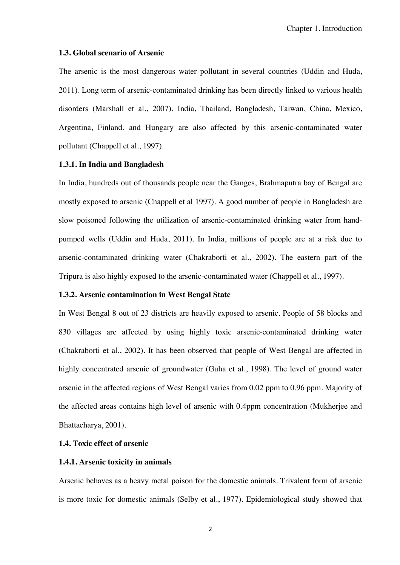#### **1.3. Global scenario of Arsenic**

The arsenic is the most dangerous water pollutant in several countries (Uddin and Huda, 2011). Long term of arsenic-contaminated drinking has been directly linked to various health disorders (Marshall et al., 2007). India, Thailand, Bangladesh, Taiwan, China, Mexico, Argentina, Finland, and Hungary are also affected by this arsenic-contaminated water pollutant (Chappell et al., 1997).

### **1.3.1. In India and Bangladesh**

In India, hundreds out of thousands people near the Ganges, Brahmaputra bay of Bengal are mostly exposed to arsenic (Chappell et al 1997). A good number of people in Bangladesh are slow poisoned following the utilization of arsenic-contaminated drinking water from handpumped wells (Uddin and Huda, 2011). In India, millions of people are at a risk due to arsenic-contaminated drinking water (Chakraborti et al., 2002). The eastern part of the Tripura is also highly exposed to the arsenic-contaminated water (Chappell et al., 1997).

# **1.3.2. Arsenic contamination in West Bengal State**

In West Bengal 8 out of 23 districts are heavily exposed to arsenic. People of 58 blocks and 830 villages are affected by using highly toxic arsenic-contaminated drinking water (Chakraborti et al., 2002). It has been observed that people of West Bengal are affected in highly concentrated arsenic of groundwater (Guha et al., 1998). The level of ground water arsenic in the affected regions of West Bengal varies from 0.02 ppm to 0.96 ppm. Majority of the affected areas contains high level of arsenic with 0.4ppm concentration (Mukherjee and Bhattacharya, 2001).

# **1.4. Toxic effect of arsenic**

### **1.4.1. Arsenic toxicity in animals**

Arsenic behaves as a heavy metal poison for the domestic animals. Trivalent form of arsenic is more toxic for domestic animals (Selby et al., 1977). Epidemiological study showed that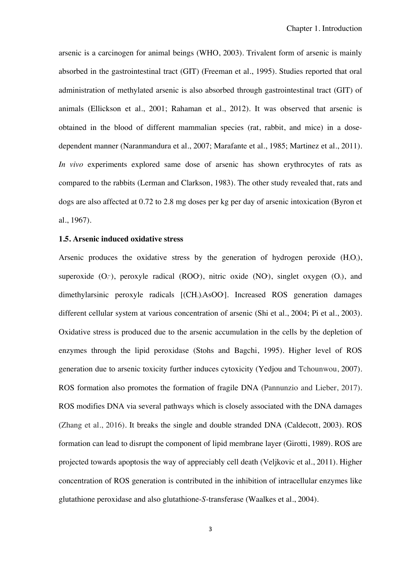arsenic is a carcinogen for animal beings (WHO, 2003). Trivalent form of arsenic is mainly absorbed in the gastrointestinal tract (GIT) (Freeman et al., 1995). Studies reported that oral administration of methylated arsenic is also absorbed through gastrointestinal tract (GIT) of animals (Ellickson et al., 2001; Rahaman et al., 2012). It was observed that arsenic is obtained in the blood of different mammalian species (rat, rabbit, and mice) in a dosedependent manner (Naranmandura et al., 2007; Marafante et al., 1985; Martinez et al., 2011). *In vivo* experiments explored same dose of arsenic has shown erythrocytes of rats as compared to the rabbits (Lerman and Clarkson, 1983). The other study revealed that, rats and dogs are also affected at 0.72 to 2.8 mg doses per kg per day of arsenic intoxication (Byron et al., 1967).

# **1.5. Arsenic induced oxidative stress**

Arsenic produces the oxidative stress by the generation of hydrogen peroxide  $(H_2O_2)$ , superoxide  $(O_1)$ , peroxyle radical (ROO), nitric oxide (NO), singlet oxygen  $(O_2)$ , and dimethylarsinic peroxyle radicals [(CH<sub>3</sub>)<sub>2</sub>AsOO<sup>]</sup>. Increased ROS generation damages different cellular system at various concentration of arsenic (Shi et al., 2004; Pi et al., 2003). Oxidative stress is produced due to the arsenic accumulation in the cells by the depletion of enzymes through the lipid peroxidase (Stohs and Bagchi, 1995). Higher level of ROS generation due to arsenic toxicity further induces cytoxicity (Yedjou and Tchounwou, 2007). ROS formation also promotes the formation of fragile DNA (Pannunzio and Lieber, 2017). ROS modifies DNA via several pathways which is closely associated with the DNA damages (Zhang et al., 2016). It breaks the single and double stranded DNA (Caldecott, 2003). ROS formation can lead to disrupt the component of lipid membrane layer (Girotti, 1989). ROS are projected towards apoptosis the way of appreciably cell death (Veljkovic et al., 2011). Higher concentration of ROS generation is contributed in the inhibition of intracellular enzymes like glutathione peroxidase and also glutathione-*S*-transferase (Waalkes et al., 2004).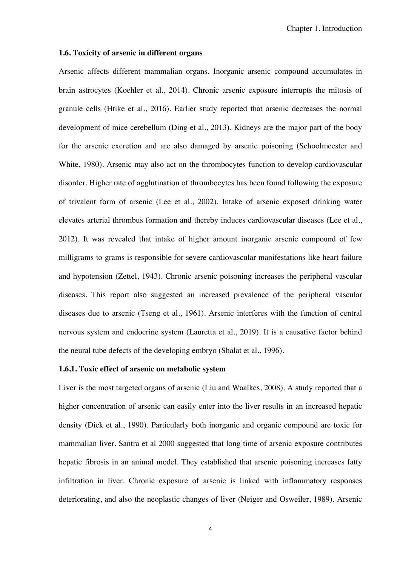### **1.6. Toxicity of arsenic in different organs**

Arsenic affects different mammalian organs. Inorganic arsenic compound accumulates in brain astrocytes (Koehler et al., 2014). Chronic arsenic exposure interrupts the mitosis of granule cells (Htike et al., 2016). Earlier study reported that arsenic decreases the normal development of mice cerebellum (Ding et al., 2013). Kidneys are the major part of the body for the arsenic excretion and are also damaged by arsenic poisoning (Schoolmeester and White, 1980). Arsenic may also act on the thrombocytes function to develop cardiovascular disorder. Higher rate of agglutination of thrombocytes has been found following the exposure of trivalent form of arsenic (Lee et al., 2002). Intake of arsenic exposed drinking water elevates arterial thrombus formation and thereby induces cardiovascular diseases (Lee et al., 2012). It was revealed that intake of higher amount inorganic arsenic compound of few milligrams to grams is responsible for severe cardiovascular manifestations like heart failure and hypotension (Zettel, 1943). Chronic arsenic poisoning increases the peripheral vascular diseases. This report also suggested an increased prevalence of the peripheral vascular diseases due to arsenic (Tseng et al., 1961). Arsenic interferes with the function of central nervous system and endocrine system (Lauretta et al., 2019). It is a causative factor behind the neural tube defects of the developing embryo (Shalat et al., 1996).

#### **1.6.1. Toxic effect of arsenic on metabolic system**

Liver is the most targeted organs of arsenic (Liu and Waalkes, 2008). A study reported that a higher concentration of arsenic can easily enter into the liver results in an increased hepatic density (Dick et al., 1990). Particularly both inorganic and organic compound are toxic for mammalian liver. Santra et al 2000 suggested that long time of arsenic exposure contributes hepatic fibrosis in an animal model. They established that arsenic poisoning increases fatty infiltration in liver. Chronic exposure of arsenic is linked with inflammatory responses deteriorating, and also the neoplastic changes of liver (Neiger and Osweiler, 1989). Arsenic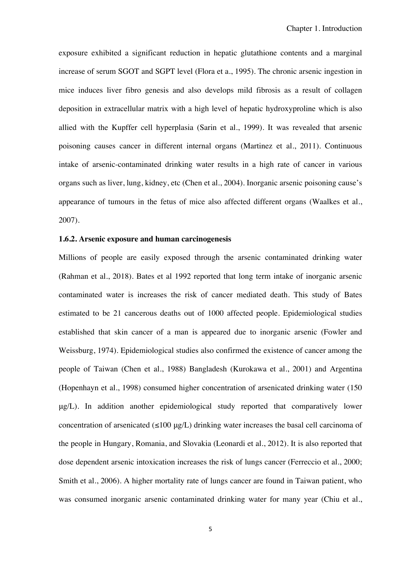exposure exhibited a significant reduction in hepatic glutathione contents and a marginal increase of serum SGOT and SGPT level (Flora et a., 1995). The chronic arsenic ingestion in mice induces liver fibro genesis and also develops mild fibrosis as a result of collagen deposition in extracellular matrix with a high level of hepatic hydroxyproline which is also allied with the Kupffer cell hyperplasia (Sarin et al., 1999). It was revealed that arsenic poisoning causes cancer in different internal organs (Martinez et al., 2011). Continuous intake of arsenic-contaminated drinking water results in a high rate of cancer in various organs such as liver, lung, kidney, etc (Chen et al., 2004). Inorganic arsenic poisoning cause's appearance of tumours in the fetus of mice also affected different organs (Waalkes et al., 2007).

### **1.6.2. Arsenic exposure and human carcinogenesis**

Millions of people are easily exposed through the arsenic contaminated drinking water (Rahman et al., 2018). Bates et al 1992 reported that long term intake of inorganic arsenic contaminated water is increases the risk of cancer mediated death. This study of Bates estimated to be 21 cancerous deaths out of 1000 affected people. Epidemiological studies established that skin cancer of a man is appeared due to inorganic arsenic (Fowler and Weissburg, 1974). Epidemiological studies also confirmed the existence of cancer among the people of Taiwan (Chen et al., 1988) Bangladesh (Kurokawa et al., 2001) and Argentina (Hopenhayn et al., 1998) consumed higher concentration of arsenicated drinking water (150 μg/L). In addition another epidemiological study reported that comparatively lower concentration of arsenicated  $(\leq 100 \mu g/L)$  drinking water increases the basal cell carcinoma of the people in Hungary, Romania, and Slovakia (Leonardi et al., 2012). It is also reported that dose dependent arsenic intoxication increases the risk of lungs cancer (Ferreccio et al., 2000; Smith et al., 2006). A higher mortality rate of lungs cancer are found in Taiwan patient, who was consumed inorganic arsenic contaminated drinking water for many year (Chiu et al.,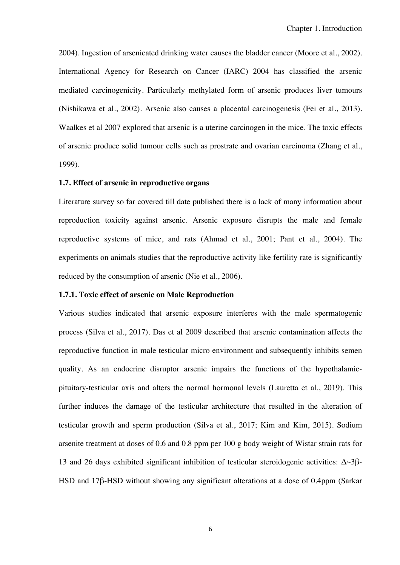2004). Ingestion of arsenicated drinking water causes the bladder cancer (Moore et al., 2002). International Agency for Research on Cancer (IARC) 2004 has classified the arsenic mediated carcinogenicity. Particularly methylated form of arsenic produces liver tumours (Nishikawa et al., 2002). Arsenic also causes a placental carcinogenesis (Fei et al., 2013). Waalkes et al 2007 explored that arsenic is a uterine carcinogen in the mice. The toxic effects of arsenic produce solid tumour cells such as prostrate and ovarian carcinoma (Zhang et al., 1999).

### **1.7. Effect of arsenic in reproductive organs**

Literature survey so far covered till date published there is a lack of many information about reproduction toxicity against arsenic. Arsenic exposure disrupts the male and female reproductive systems of mice, and rats (Ahmad et al., 2001; Pant et al., 2004). The experiments on animals studies that the reproductive activity like fertility rate is significantly reduced by the consumption of arsenic (Nie et al., 2006).

### **1.7.1. Toxic effect of arsenic on Male Reproduction**

Various studies indicated that arsenic exposure interferes with the male spermatogenic process (Silva et al., 2017). Das et al 2009 described that arsenic contamination affects the reproductive function in male testicular micro environment and subsequently inhibits semen quality. As an endocrine disruptor arsenic impairs the functions of the hypothalamicpituitary-testicular axis and alters the normal hormonal levels (Lauretta et al., 2019). This further induces the damage of the testicular architecture that resulted in the alteration of testicular growth and sperm production (Silva et al., 2017; Kim and Kim, 2015). Sodium arsenite treatment at doses of 0.6 and 0.8 ppm per 100 g body weight of Wistar strain rats for 13 and 26 days exhibited significant inhibition of testicular steroidogenic activities: Δ-3β-HSD and 17β-HSD without showing any significant alterations at a dose of 0.4ppm (Sarkar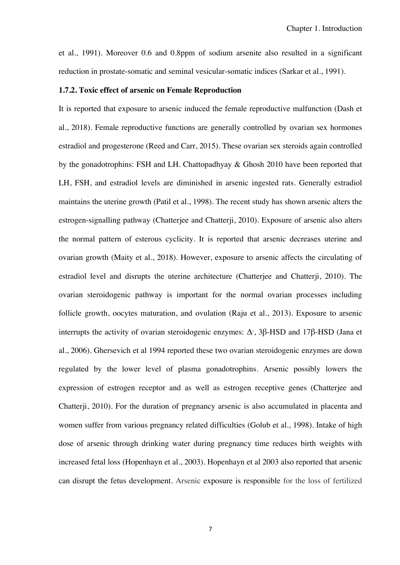et al., 1991). Moreover 0.6 and 0.8ppm of sodium arsenite also resulted in a significant reduction in prostate-somatic and seminal vesicular-somatic indices (Sarkar et al., 1991).

### **1.7.2. Toxic effect of arsenic on Female Reproduction**

It is reported that exposure to arsenic induced the female reproductive malfunction (Dash et al., 2018). Female reproductive functions are generally controlled by ovarian sex hormones estradiol and progesterone (Reed and Carr, 2015). These ovarian sex steroids again controlled by the gonadotrophins: FSH and LH. Chattopadhyay & Ghosh 2010 have been reported that LH, FSH, and estradiol levels are diminished in arsenic ingested rats. Generally estradiol maintains the uterine growth (Patil et al., 1998). The recent study has shown arsenic alters the estrogen-signalling pathway (Chatterjee and Chatterji, 2010). Exposure of arsenic also alters the normal pattern of esterous cyclicity. It is reported that arsenic decreases uterine and ovarian growth (Maity et al., 2018). However, exposure to arsenic affects the circulating of estradiol level and disrupts the uterine architecture (Chatterjee and Chatterji, 2010). The ovarian steroidogenic pathway is important for the normal ovarian processes including follicle growth, oocytes maturation, and ovulation (Raju et al., 2013). Exposure to arsenic interrupts the activity of ovarian steroidogenic enzymes:  $\Delta$ <sup>s</sup>, 3β-HSD and 17β-HSD (Jana et al., 2006). Ghersevich et al 1994 reported these two ovarian steroidogenic enzymes are down regulated by the lower level of plasma gonadotrophins. Arsenic possibly lowers the expression of estrogen receptor and as well as estrogen receptive genes (Chatterjee and Chatterji, 2010). For the duration of pregnancy arsenic is also accumulated in placenta and women suffer from various pregnancy related difficulties (Golub et al., 1998). Intake of high dose of arsenic through drinking water during pregnancy time reduces birth weights with increased fetal loss (Hopenhayn et al., 2003). Hopenhayn et al 2003 also reported that arsenic can disrupt the fetus development. Arsenic exposure is responsible for the loss of fertilized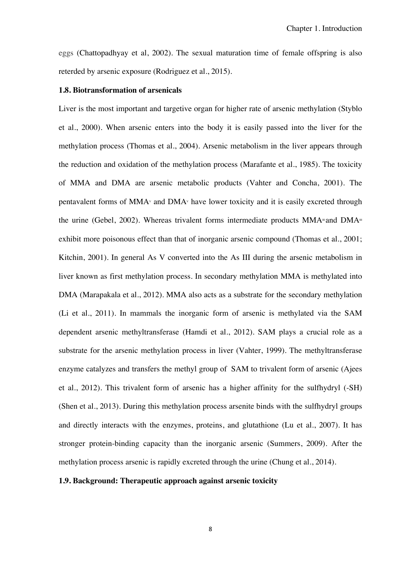eggs (Chattopadhyay et al, 2002). The sexual maturation time of female offspring is also reterded by arsenic exposure (Rodriguez et al., 2015).

#### **1.8. Biotransformation of arsenicals**

Liver is the most important and targetive organ for higher rate of arsenic methylation (Styblo et al., 2000). When arsenic enters into the body it is easily passed into the liver for the methylation process (Thomas et al., 2004). Arsenic metabolism in the liver appears through the reduction and oxidation of the methylation process (Marafante et al., 1985). The toxicity of MMA and DMA are arsenic metabolic products (Vahter and Concha, 2001). The pentavalent forms of MMA<sup>v</sup> and DMA<sup>v</sup> have lower toxicity and it is easily excreted through the urine (Gebel, 2002). Whereas trivalent forms intermediate products  $MMA<sup>II</sup>$  and  $DMA<sup>II</sup>$ exhibit more poisonous effect than that of inorganic arsenic compound (Thomas et al., 2001; Kitchin, 2001). In general As V converted into the As III during the arsenic metabolism in liver known as first methylation process. In secondary methylation MMA is methylated into DMA (Marapakala et al., 2012). MMA also acts as a substrate for the secondary methylation (Li et al., 2011). In mammals the inorganic form of arsenic is methylated via the SAM dependent arsenic methyltransferase (Hamdi et al., 2012). SAM plays a crucial role as a substrate for the arsenic methylation process in liver (Vahter, 1999). The methyltransferase enzyme catalyzes and transfers the methyl group of SAM to trivalent form of arsenic (Ajees et al., 2012). This trivalent form of arsenic has a higher affinity for the sulfhydryl (-SH) (Shen et al., 2013). During this methylation process arsenite binds with the sulfhydryl groups and directly interacts with the enzymes, proteins, and glutathione (Lu et al., 2007). It has stronger protein-binding capacity than the inorganic arsenic (Summers, 2009). After the methylation process arsenic is rapidly excreted through the urine (Chung et al., 2014).

# **1.9. Background: Therapeutic approach against arsenic toxicity**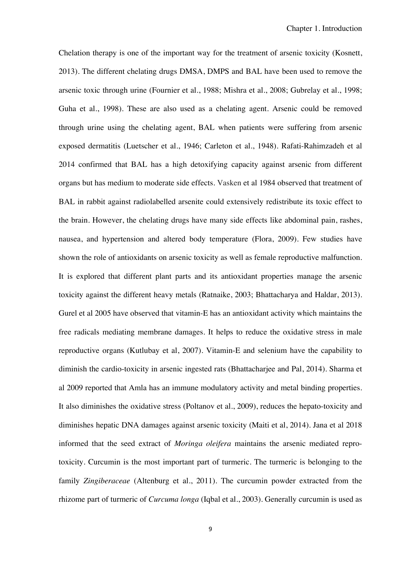Chelation therapy is one of the important way for the treatment of arsenic toxicity (Kosnett, 2013). The different chelating drugs DMSA, DMPS and BAL have been used to remove the arsenic toxic through urine (Fournier et al., 1988; Mishra et al., 2008; Gubrelay et al., 1998; Guha et al., 1998). These are also used as a chelating agent. Arsenic could be removed through urine using the chelating agent, BAL when patients were suffering from arsenic exposed dermatitis (Luetscher et al., 1946; Carleton et al., 1948). Rafati-Rahimzadeh et al 2014 confirmed that BAL has a high detoxifying capacity against arsenic from different organs but has medium to moderate side effects. Vasken et al 1984 observed that treatment of BAL in rabbit against radiolabelled arsenite could extensively redistribute its toxic effect to the brain. However, the chelating drugs have many side effects like abdominal pain, rashes, nausea, and hypertension and altered body temperature (Flora, 2009). Few studies have shown the role of antioxidants on arsenic toxicity as well as female reproductive malfunction. It is explored that different plant parts and its antioxidant properties manage the arsenic toxicity against the different heavy metals (Ratnaike, 2003; Bhattacharya and Haldar, 2013). Gurel et al 2005 have observed that vitamin-E has an antioxidant activity which maintains the free radicals mediating membrane damages. It helps to reduce the oxidative stress in male reproductive organs (Kutlubay et al, 2007). Vitamin-E and selenium have the capability to diminish the cardio-toxicity in arsenic ingested rats (Bhattacharjee and Pal, 2014). Sharma et al 2009 reported that Amla has an immune modulatory activity and metal binding properties. It also diminishes the oxidative stress (Poltanov et al., 2009), reduces the hepato-toxicity and diminishes hepatic DNA damages against arsenic toxicity (Maiti et al, 2014). Jana et al 2018 informed that the seed extract of *Moringa oleifera* maintains the arsenic mediated reprotoxicity. Curcumin is the most important part of turmeric. The turmeric is belonging to the family *Zingiberaceae* (Altenburg et al., 2011). The curcumin powder extracted from the rhizome part of turmeric of *Curcuma longa* (Iqbal et al., 2003). Generally curcumin is used as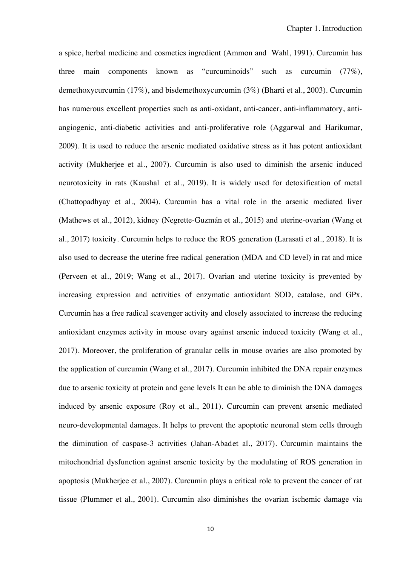a spice, herbal medicine and cosmetics ingredient (Ammon and Wahl, 1991). Curcumin has three main components known as "curcuminoids" such as curcumin (77%), demethoxycurcumin (17%), and bisdemethoxycurcumin (3%) (Bharti et al., 2003). Curcumin has numerous excellent properties such as anti-oxidant, anti-cancer, anti-inflammatory, antiangiogenic, anti-diabetic activities and anti-proliferative role (Aggarwal and Harikumar, 2009). It is used to reduce the arsenic mediated oxidative stress as it has potent antioxidant activity (Mukherjee et al., 2007). Curcumin is also used to diminish the arsenic induced neurotoxicity in rats (Kaushal et al., 2019). It is widely used for detoxification of metal (Chattopadhyay et al., 2004). Curcumin has a vital role in the arsenic mediated liver (Mathews et al., 2012), kidney (Negrette-Guzmán et al., 2015) and uterine-ovarian (Wang et al., 2017) toxicity. Curcumin helps to reduce the ROS generation (Larasati et al., 2018). It is also used to decrease the uterine free radical generation (MDA and CD level) in rat and mice (Perveen et al., 2019; Wang et al., 2017). Ovarian and uterine toxicity is prevented by increasing expression and activities of enzymatic antioxidant SOD, catalase, and GPx. Curcumin has a free radical scavenger activity and closely associated to increase the reducing antioxidant enzymes activity in mouse ovary against arsenic induced toxicity (Wang et al., 2017). Moreover, the proliferation of granular cells in mouse ovaries are also promoted by the application of curcumin (Wang et al., 2017). Curcumin inhibited the DNA repair enzymes due to arsenic toxicity at protein and gene levels It can be able to diminish the DNA damages induced by arsenic exposure (Roy et al., 2011). Curcumin can prevent arsenic mediated neuro-developmental damages. It helps to prevent the apoptotic neuronal stem cells through the diminution of caspase-3 activities (Jahan-Abadet al., 2017). Curcumin maintains the mitochondrial dysfunction against arsenic toxicity by the modulating of ROS generation in apoptosis (Mukherjee et al., 2007). Curcumin plays a critical role to prevent the cancer of rat tissue (Plummer et al., 2001). Curcumin also diminishes the ovarian ischemic damage via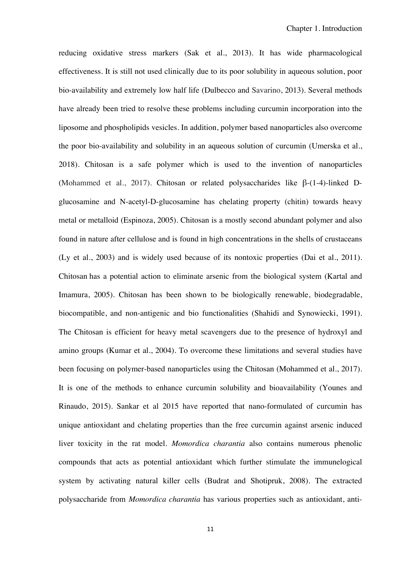reducing oxidative stress markers (Sak et al., 2013). It has wide pharmacological effectiveness. It is still not used clinically due to its poor solubility in aqueous solution, poor bio-availability and extremely low half life (Dulbecco and Savarino, 2013). Several methods have already been tried to resolve these problems including curcumin incorporation into the liposome and phospholipids vesicles. In addition, polymer based nanoparticles also overcome the poor bio-availability and solubility in an aqueous solution of curcumin (Umerska et al., 2018). Chitosan is a safe polymer which is used to the invention of nanoparticles (Mohammed et al., 2017). Chitosan or related polysaccharides like β-(1-4)-linked Dglucosamine and N-acetyl-D-glucosamine has chelating property (chitin) towards heavy metal or metalloid (Espinoza, 2005). Chitosan is a mostly second abundant polymer and also found in nature after cellulose and is found in high concentrations in the shells of crustaceans (Ly et al., 2003) and is widely used because of its nontoxic properties (Dai et al., 2011). Chitosan has a potential action to eliminate arsenic from the biological system (Kartal and Imamura, 2005). Chitosan has been shown to be biologically renewable, biodegradable, biocompatible, and non-antigenic and bio functionalities (Shahidi and Synowiecki, 1991). The Chitosan is efficient for heavy metal scavengers due to the presence of hydroxyl and amino groups (Kumar et al., 2004). To overcome these limitations and several studies have been focusing on polymer-based nanoparticles using the Chitosan (Mohammed et al., 2017). It is one of the methods to enhance curcumin solubility and bioavailability (Younes and Rinaudo, 2015). Sankar et al 2015 have reported that nano-formulated of curcumin has unique antioxidant and chelating properties than the free curcumin against arsenic induced liver toxicity in the rat model. *Momordica charantia* also contains numerous phenolic compounds that acts as potential antioxidant which further stimulate the immunelogical system by activating natural killer cells (Budrat and Shotipruk, 2008). The extracted polysaccharide from *Momordica charantia* has various properties such as antioxidant, anti